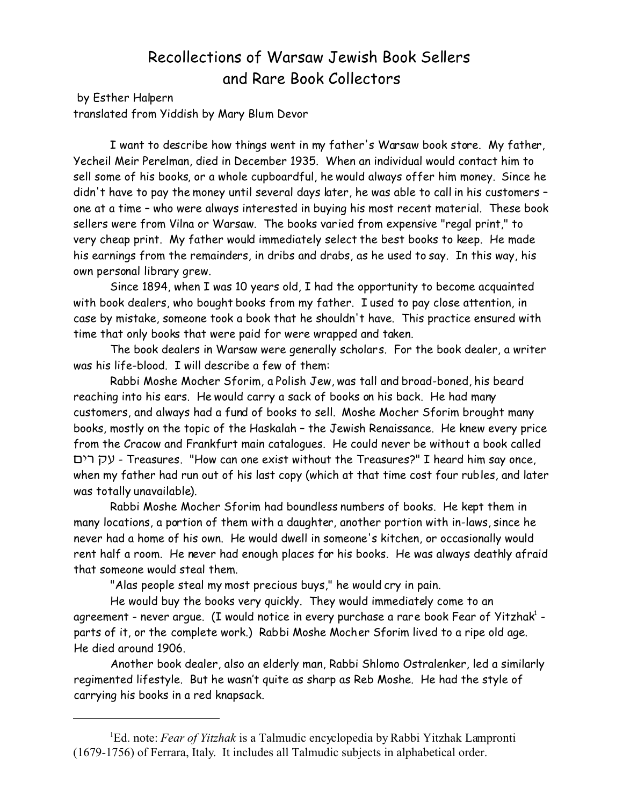## Recollections of Warsaw Jewish Book Sellers and Rare Book Collectors

by Esther Halpern translated from Yiddish by Mary Blum Devor

I want to describe how things went in my father's Warsaw book store. My father, Yecheil Meir Perelman, died in December 1935. When an individual would contact him to sell some of his books, or a whole cupboardful, he would always offer him money. Since he didn't have to pay the money until several days later, he was able to call in his customers – one at a time – who were always interested in buying his most recent material. These book sellers were from Vilna or Warsaw. The books varied from expensive "regal print," to very cheap print. My father would immediately select the best books to keep. He made his earnings from the remainders, in dribs and drabs, as he used to say. In this way, his own personal library grew.

Since 1894, when I was 10 years old, I had the opportunity to become acquainted with book dealers, who bought books from my father. I used to pay close attention, in case by mistake, someone took a book that he shouldn't have. This practice ensured with time that only books that were paid for were wrapped and taken.

The book dealers in Warsaw were generally scholars. For the book dealer, a writer was his life-blood. I will describe a few of them:

Rabbi Moshe Mocher Sforim, a Polish Jew, was tall and broad-boned, his beard reaching into his ears. He would carry a sack of books on his back. He had many customers, and always had a fund of books to sell. Moshe Mocher Sforim brought many books, mostly on the topic of the *Haskalah* – the Jewish Renaissance. He knew every price from the Cracow and Frankfurt main catalogues. He could never be without a book called .\*9 83 - *Treasures*. "How can one exist without the *Treasures*?" I heard him say once, when my father had run out of his last copy (which at that time cost four rubles, and later was totally unavailable).

Rabbi Moshe Mocher Sforim had boundless numbers of books. He kept them in many locations, a portion of them with a daughter, another portion with in-laws, since he never had a home of his own. He would dwell in someone's kitchen, or occasionally would rent half a room. He never had enough places for his books. He was always deathly afraid that someone would steal them.

"Alas people steal my most precious buys," he would cry in pain.

He would buy the books very quickly. They would immediately come to an agreement - never argue. (I would notice in every purchase a rare book Fear of Yitzhak<sup>ı</sup> parts of it, or the complete work.) Rabbi Moshe Mocher Sforim lived to a ripe old age. He died around 1906.

Another book dealer, also an elderly man, Rabbi Shlomo Ostralenker, led a similarly regimented lifestyle. But he wasn't quite as sharp as Reb Moshe. He had the style of carrying his books in a red knapsack.

<sup>1</sup>Ed. note: *Fear of Yitzhak* is a Talmudic encyclopedia by Rabbi Yitzhak Lampronti (1679-1756) of Ferrara, Italy. It includes all Talmudic subjects in alphabetical order.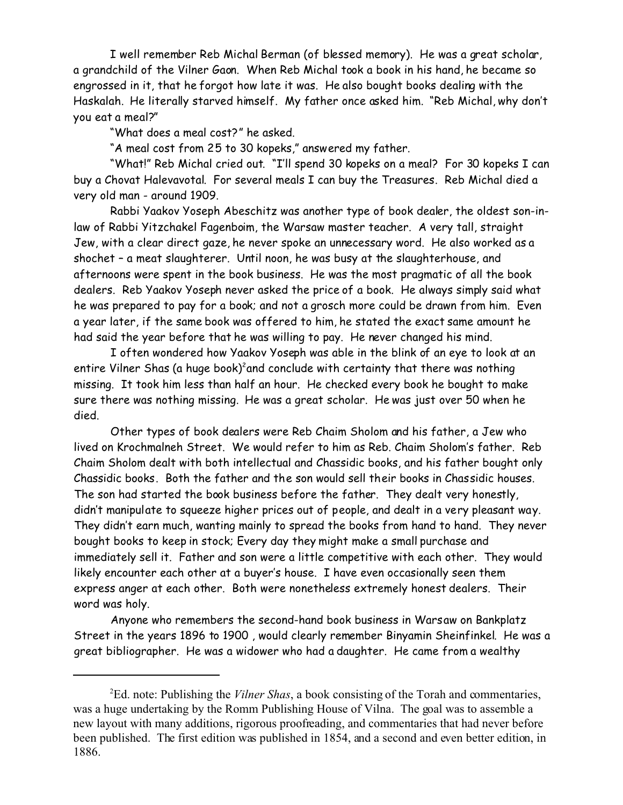I well remember Reb Michal Berman (of blessed memory). He was a great scholar, a grandchild of the Vilner Gaon. When Reb Michal took a book in his hand, he became so engrossed in it, that he forgot how late it was. He also bought books dealing with the Haskalah. He literally starved himself. My father once asked him. "Reb Michal, why don't you eat a meal?"

"What does a meal cost?" he asked.

"A meal cost from 25 to 30 kopeks," answered my father.

"What!" Reb Michal cried out. "I'll spend 30 kopeks on a meal? For 30 kopeks I can buy a *Chovat Halevavotal*. For several meals I can buy the *Treasures*. Reb Michal died a very old man - around 1909.

Rabbi Yaakov Yoseph Abeschitz was another type of book dealer, the oldest son-inlaw of Rabbi Yitzchakel Fagenboim, the Warsaw master teacher. A very tall, straight Jew, with a clear direct gaze, he never spoke an unnecessary word. He also worked as a *shochet* – a meat slaughterer. Until noon, he was busy at the slaughterhouse, and afternoons were spent in the book business. He was the most pragmatic of all the book dealers. Reb Yaakov Yoseph never asked the price of a book. He always simply said what he was prepared to pay for a book; and not a *grosch* more could be drawn from him. Even a year later, if the same book was offered to him, he stated the exact same amount he had said the year before that he was willing to pay. He never changed his mind.

I often wondered how Yaakov Yoseph was able in the blink of an eye to look at an entire Vilner Shas (a huge book)<sup>2</sup>and conclude with certainty that there was nothing missing. It took him less than half an hour. He checked every book he bought to make sure there was nothing missing. He was a great scholar. He was just over 50 when he died.

Other types of book dealers were Reb Chaim Sholom and his father, a Jew who lived on Krochmalneh Street. We would refer to him as Reb. Chaim Sholom's father. Reb Chaim Sholom dealt with both intellectual and Chassidic books, and his father bought only Chassidic books. Both the father and the son would sell their books in Chassidic houses. The son had started the book business before the father. They dealt very honestly, didn't manipulate to squeeze higher prices out of people, and dealt in a very pleasant way. They didn't earn much, wanting mainly to spread the books from hand to hand. They never bought books to keep in stock; Every day they might make a small purchase and immediately sell it. Father and son were a little competitive with each other. They would likely encounter each other at a buyer's house. I have even occasionally seen them express anger at each other. Both were nonetheless extremely honest dealers. Their word was holy.

Anyone who remembers the second-hand book business in Warsaw on Bankplatz Street in the years 1896 to 1900 , would clearly remember Binyamin Sheinfinkel. He was a great bibliographer. He was a widower who had a daughter. He came from a wealthy

<sup>2</sup>Ed. note: Publishing the *Vilner Shas*, a book consisting of the Torah and commentaries, was a huge undertaking by the Romm Publishing House of Vilna. The goal was to assemble a new layout with many additions, rigorous proofreading, and commentaries that had never before been published. The first edition was published in 1854, and a second and even better edition, in 1886.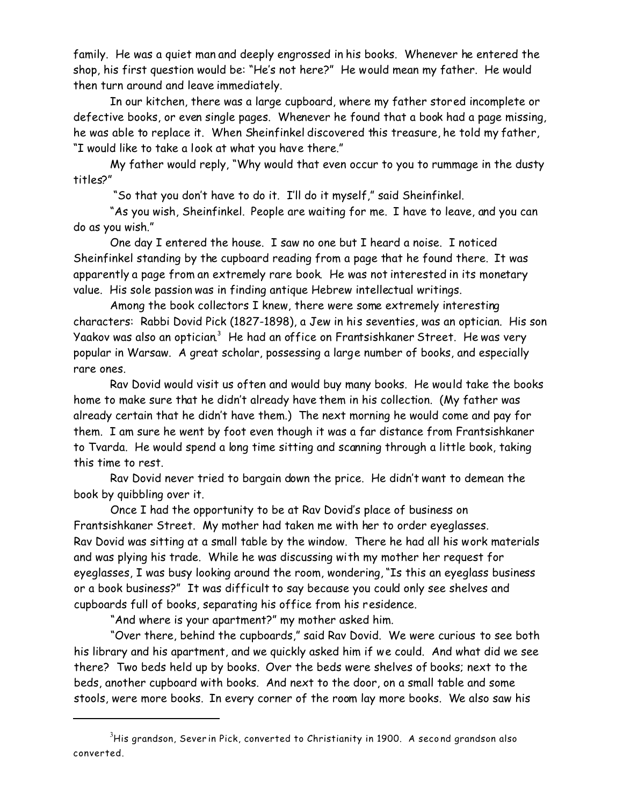family. He was a quiet man and deeply engrossed in his books. Whenever he entered the shop, his first question would be: "He's not here?" He would mean my father. He would then turn around and leave immediately.

In our kitchen, there was a large cupboard, where my father stored incomplete or defective books, or even single pages. Whenever he found that a book had a page missing, he was able to replace it. When Sheinfinkel discovered this treasure, he told my father, "I would like to take a look at what you have there."

My father would reply, "Why would that even occur to you to rummage in the dusty titles?"

"So that you don't have to do it. I'll do it myself," said Sheinfinkel.

"As you wish, Sheinfinkel. People are waiting for me. I have to leave, and you can do as you wish."

One day I entered the house. I saw no one but I heard a noise. I noticed Sheinfinkel standing by the cupboard reading from a page that he found there. It was apparently a page from an extremely rare book. He was not interested in its monetary value. His sole passion was in finding antique Hebrew intellectual writings.

Among the book collectors I knew, there were some extremely interesting characters: Rabbi Dovid Pick (1827-1898), a Jew in his seventies, was an optician. His son Yaakov was also an optician. $^3\,$  He had an office on Frantsishkaner Street. He was very popular in Warsaw. A great scholar, possessing a large number of books, and especially rare ones.

Rav Dovid would visit us often and would buy many books. He would take the books home to make sure that he didn't already have them in his collection. (My father was already certain that he didn't have them.) The next morning he would come and pay for them. I am sure he went by foot even though it was a far distance from Frantsishkaner to Tvarda. He would spend a long time sitting and scanning through a little book, taking this time to rest.

Rav Dovid never tried to bargain down the price. He didn't want to demean the book by quibbling over it.

Once I had the opportunity to be at Rav Dovid's place of business on Frantsishkaner Street. My mother had taken me with her to order eyeglasses. Rav Dovid was sitting at a small table by the window. There he had all his work materials and was plying his trade. While he was discussing with my mother her request for eyeglasses, I was busy looking around the room, wondering, "Is this an eyeglass business or a book business?" It was difficult to say because you could only see shelves and cupboards full of books, separating his office from his residence.

"And where is your apartment?" my mother asked him.

"Over there, behind the cupboards," said Rav Dovid. We were curious to see both his library and his apartment, and we quickly asked him if we could. And what did we see there? Two beds held up by books. Over the beds were shelves of books; next to the beds, another cupboard with books. And next to the door, on a small table and some stools, were more books. In every corner of the room lay more books. We also saw his

 $^3$ His grandson, Sever in Pick, converted to Christianity in 1900.  $\,$  A second grandson also converted.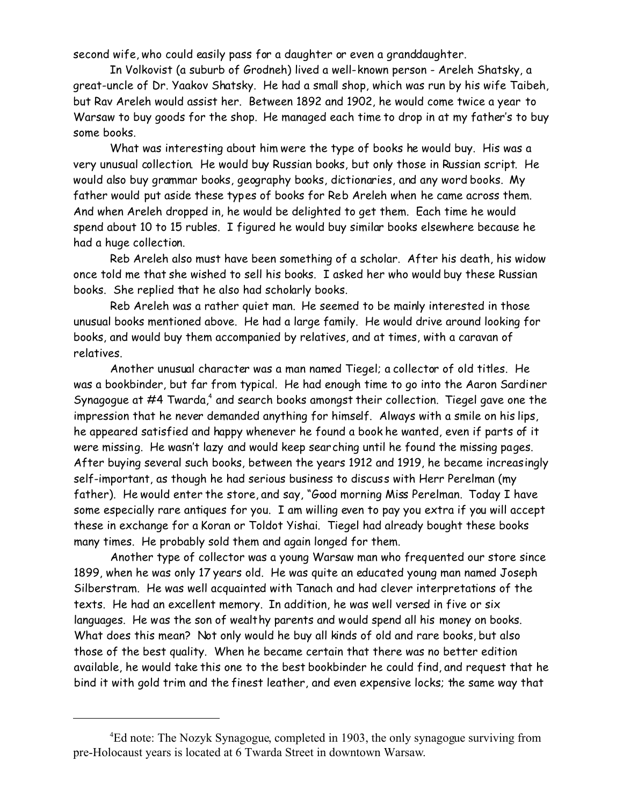second wife, who could easily pass for a daughter or even a granddaughter.

In Volkovist (a suburb of Grodneh) lived a well-known person - Areleh Shatsky, a great-uncle of Dr. Yaakov Shatsky. He had a small shop, which was run by his wife Taibeh, but Rav Areleh would assist her. Between 1892 and 1902, he would come twice a year to Warsaw to buy goods for the shop. He managed each time to drop in at my father's to buy some books.

What was interesting about him were the type of books he would buy. His was a very unusual collection. He would buy Russian books, but only those in Russian script. He would also buy grammar books, geography books, dictionaries, and any word books. My father would put aside these types of books for Reb Areleh when he came across them. And when Areleh dropped in, he would be delighted to get them. Each time he would spend about 10 to 15 rubles. I figured he would buy similar books elsewhere because he had a huge collection.

Reb Areleh also must have been something of a scholar. After his death, his widow once told me that she wished to sell his books. I asked her who would buy these Russian books. She replied that he also had scholarly books.

Reb Areleh was a rather quiet man. He seemed to be mainly interested in those unusual books mentioned above. He had a large family. He would drive around looking for books, and would buy them accompanied by relatives, and at times, with a caravan of relatives.

Another unusual character was a man named Tiegel; a collector of old titles. He was a bookbinder, but far from typical. He had enough time to go into the Aaron Sardiner Synagogue at  $\#4$  Twarda, $^4$  and search books amongst their collection. Tiegel gave one the impression that he never demanded anything for himself. Always with a smile on his lips, he appeared satisfied and happy whenever he found a book he wanted, even if parts of it were missing. He wasn't lazy and would keep searching until he found the missing pages. After buying several such books, between the years 1912 and 1919, he became increasingly self-important, as though he had serious business to discuss with Herr Perelman (my father). He would enter the store, and say, "Good morning Miss Perelman. Today I have some especially rare antiques for you. I am willing even to pay you extra if you will accept these in exchange for a *Koran* or *Toldot Yishai*. Tiegel had already bought these books many times. He probably sold them and again longed for them.

Another type of collector was a young Warsaw man who frequented our store since 1899, when he was only 17 years old. He was quite an educated young man named Joseph Silberstram. He was well acquainted with *Tanach* and had clever interpretations of the texts. He had an excellent memory. In addition, he was well versed in five or six languages. He was the son of wealthy parents and would spend all his money on books. What does this mean? Not only would he buy all kinds of old and rare books, but also those of the best quality. When he became certain that there was no better edition available, he would take this one to the best bookbinder he could find, and request that he bind it with gold trim and the finest leather, and even expensive locks; the same way that

<sup>&</sup>lt;sup>4</sup>Ed note: The Nozyk Synagogue, completed in 1903, the only synagogue surviving from pre-Holocaust years is located at 6 Twarda Street in downtown Warsaw.